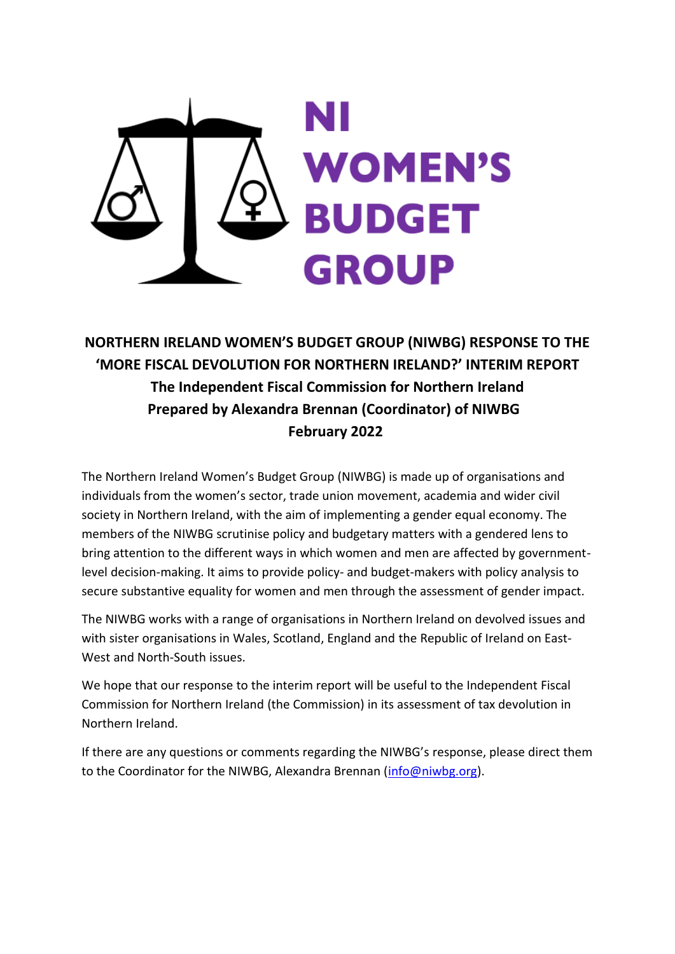

**NORTHERN IRELAND WOMEN'S BUDGET GROUP (NIWBG) RESPONSE TO THE 'MORE FISCAL DEVOLUTION FOR NORTHERN IRELAND?' INTERIM REPORT The Independent Fiscal Commission for Northern Ireland Prepared by Alexandra Brennan (Coordinator) of NIWBG February 2022**

The Northern Ireland Women's Budget Group (NIWBG) is made up of organisations and individuals from the women's sector, trade union movement, academia and wider civil society in Northern Ireland, with the aim of implementing a gender equal economy. The members of the NIWBG scrutinise policy and budgetary matters with a gendered lens to bring attention to the different ways in which women and men are affected by governmentlevel decision-making. It aims to provide policy- and budget-makers with policy analysis to secure substantive equality for women and men through the assessment of gender impact.

The NIWBG works with a range of organisations in Northern Ireland on devolved issues and with sister organisations in Wales, Scotland, England and the Republic of Ireland on East-West and North-South issues.

We hope that our response to the interim report will be useful to the Independent Fiscal Commission for Northern Ireland (the Commission) in its assessment of tax devolution in Northern Ireland.

If there are any questions or comments regarding the NIWBG's response, please direct them to the Coordinator for the NIWBG, Alexandra Brennan [\(info@niwbg.org\)](mailto:info@niwbg.org).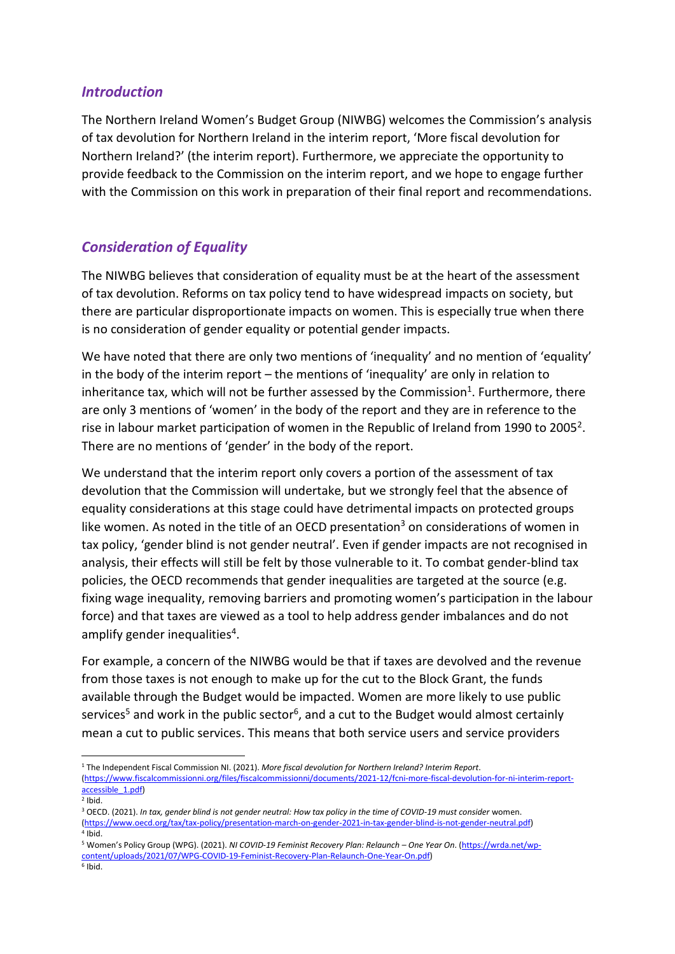## *Introduction*

The Northern Ireland Women's Budget Group (NIWBG) welcomes the Commission's analysis of tax devolution for Northern Ireland in the interim report, 'More fiscal devolution for Northern Ireland?' (the interim report). Furthermore, we appreciate the opportunity to provide feedback to the Commission on the interim report, and we hope to engage further with the Commission on this work in preparation of their final report and recommendations.

# *Consideration of Equality*

The NIWBG believes that consideration of equality must be at the heart of the assessment of tax devolution. Reforms on tax policy tend to have widespread impacts on society, but there are particular disproportionate impacts on women. This is especially true when there is no consideration of gender equality or potential gender impacts.

We have noted that there are only two mentions of 'inequality' and no mention of 'equality' in the body of the interim report – the mentions of 'inequality' are only in relation to inheritance tax, which will not be further assessed by the Commission<sup>1</sup>. Furthermore, there are only 3 mentions of 'women' in the body of the report and they are in reference to the rise in labour market participation of women in the Republic of Ireland from 1990 to 2005<sup>2</sup>. There are no mentions of 'gender' in the body of the report.

We understand that the interim report only covers a portion of the assessment of tax devolution that the Commission will undertake, but we strongly feel that the absence of equality considerations at this stage could have detrimental impacts on protected groups like women. As noted in the title of an OECD presentation<sup>3</sup> on considerations of women in tax policy, 'gender blind is not gender neutral'. Even if gender impacts are not recognised in analysis, their effects will still be felt by those vulnerable to it. To combat gender-blind tax policies, the OECD recommends that gender inequalities are targeted at the source (e.g. fixing wage inequality, removing barriers and promoting women's participation in the labour force) and that taxes are viewed as a tool to help address gender imbalances and do not amplify gender inequalities<sup>4</sup>.

For example, a concern of the NIWBG would be that if taxes are devolved and the revenue from those taxes is not enough to make up for the cut to the Block Grant, the funds available through the Budget would be impacted. Women are more likely to use public services<sup>5</sup> and work in the public sector<sup>6</sup>, and a cut to the Budget would almost certainly mean a cut to public services. This means that both service users and service providers

<sup>1</sup> The Independent Fiscal Commission NI. (2021). *More fiscal devolution for Northern Ireland? Interim Report*. [\(https://www.fiscalcommissionni.org/files/fiscalcommissionni/documents/2021-12/fcni-more-fiscal-devolution-for-ni-interim-report](https://www.fiscalcommissionni.org/files/fiscalcommissionni/documents/2021-12/fcni-more-fiscal-devolution-for-ni-interim-report-accessible_1.pdf)accessible\_1.pdf)

 $2$  Ibid.

<sup>3</sup> OECD. (2021). *In tax, gender blind is not gender neutral: How tax policy in the time of COVID-19 must consider* women. [\(https://www.oecd.org/tax/tax-policy/presentation-march-on-gender-2021-in-tax-gender-blind-is-not-gender-neutral.pdf\)](https://www.oecd.org/tax/tax-policy/presentation-march-on-gender-2021-in-tax-gender-blind-is-not-gender-neutral.pdf) 4 Ibid.

<sup>5</sup> Women's Policy Group (WPG). (2021). *NI COVID-19 Feminist Recovery Plan: Relaunch – One Year On*. [\(https://wrda.net/wp](https://wrda.net/wp-content/uploads/2021/07/WPG-COVID-19-Feminist-Recovery-Plan-Relaunch-One-Year-On.pdf)[content/uploads/2021/07/WPG-COVID-19-Feminist-Recovery-Plan-Relaunch-One-Year-On.pdf\)](https://wrda.net/wp-content/uploads/2021/07/WPG-COVID-19-Feminist-Recovery-Plan-Relaunch-One-Year-On.pdf) 6 Ibid.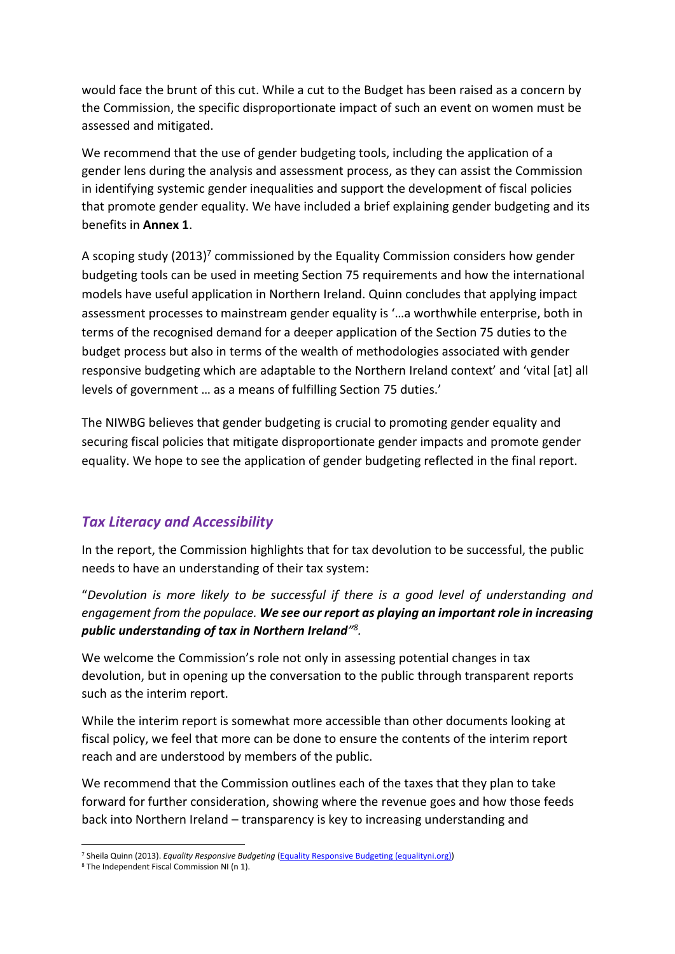would face the brunt of this cut. While a cut to the Budget has been raised as a concern by the Commission, the specific disproportionate impact of such an event on women must be assessed and mitigated.

We recommend that the use of gender budgeting tools, including the application of a gender lens during the analysis and assessment process, as they can assist the Commission in identifying systemic gender inequalities and support the development of fiscal policies that promote gender equality. We have included a brief explaining gender budgeting and its benefits in **Annex 1**.

A scoping study (2013)<sup>7</sup> commissioned by the Equality Commission considers how gender budgeting tools can be used in meeting Section 75 requirements and how the international models have useful application in Northern Ireland. Quinn concludes that applying impact assessment processes to mainstream gender equality is '…a worthwhile enterprise, both in terms of the recognised demand for a deeper application of the Section 75 duties to the budget process but also in terms of the wealth of methodologies associated with gender responsive budgeting which are adaptable to the Northern Ireland context' and 'vital [at] all levels of government … as a means of fulfilling Section 75 duties.'

The NIWBG believes that gender budgeting is crucial to promoting gender equality and securing fiscal policies that mitigate disproportionate gender impacts and promote gender equality. We hope to see the application of gender budgeting reflected in the final report.

# *Tax Literacy and Accessibility*

In the report, the Commission highlights that for tax devolution to be successful, the public needs to have an understanding of their tax system:

"*Devolution is more likely to be successful if there is a good level of understanding and engagement from the populace. We see our report as playing an important role in increasing public understanding of tax in Northern Ireland" 8 .*

We welcome the Commission's role not only in assessing potential changes in tax devolution, but in opening up the conversation to the public through transparent reports such as the interim report.

While the interim report is somewhat more accessible than other documents looking at fiscal policy, we feel that more can be done to ensure the contents of the interim report reach and are understood by members of the public.

We recommend that the Commission outlines each of the taxes that they plan to take forward for further consideration, showing where the revenue goes and how those feeds back into Northern Ireland – transparency is key to increasing understanding and

<sup>7</sup> Sheila Quinn (2013). *Equality Responsive Budgeting* [\(Equality Responsive Budgeting \(equalityni.org\)\)](https://www.equalityni.org/ECNI/media/ECNI/Publications/Employers%20and%20Service%20Providers/Equalityresponsivebugeting2013.pdf?ext=.pdf)

<sup>8</sup> The Independent Fiscal Commission NI (n 1).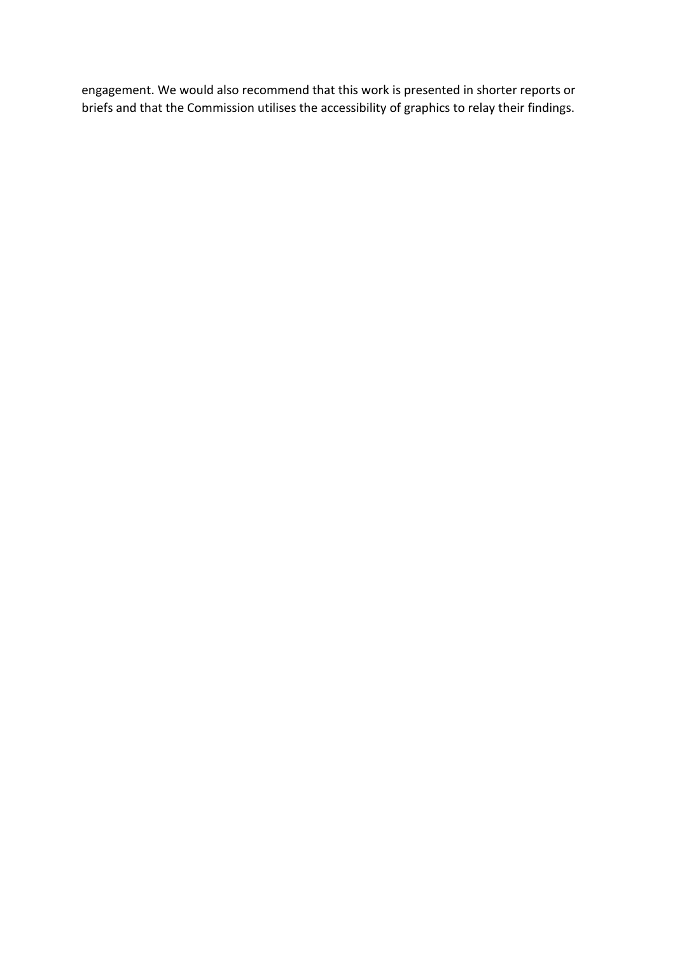engagement. We would also recommend that this work is presented in shorter reports or briefs and that the Commission utilises the accessibility of graphics to relay their findings.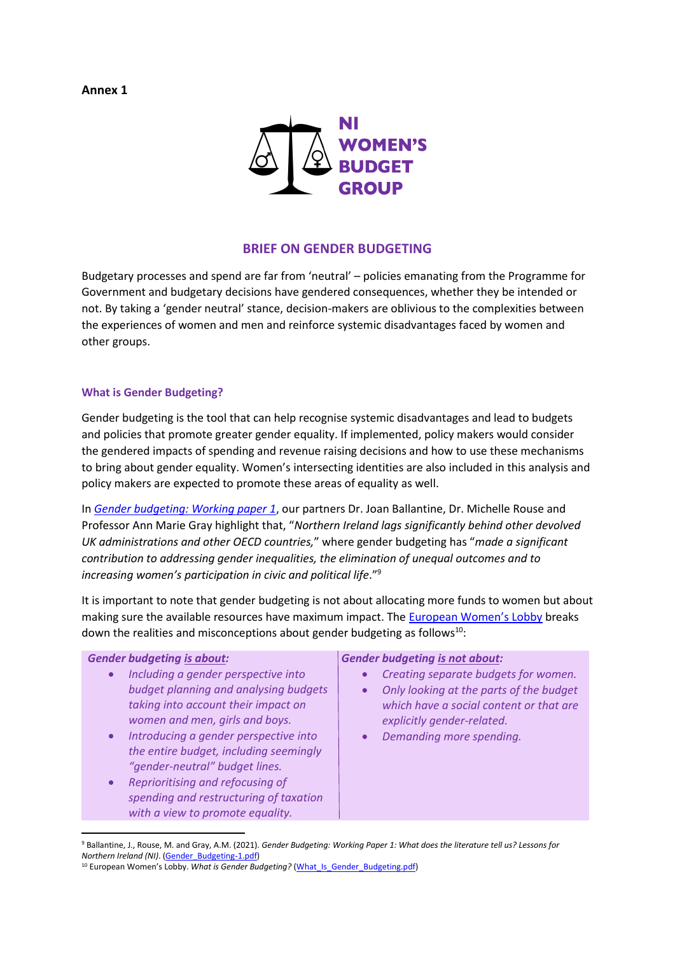**Annex 1**



## **BRIEF ON GENDER BUDGETING**

Budgetary processes and spend are far from 'neutral' – policies emanating from the Programme for Government and budgetary decisions have gendered consequences, whether they be intended or not. By taking a 'gender neutral' stance, decision-makers are oblivious to the complexities between the experiences of women and men and reinforce systemic disadvantages faced by women and other groups.

## **What is Gender Budgeting?**

Gender budgeting is the tool that can help recognise systemic disadvantages and lead to budgets and policies that promote greater gender equality. If implemented, policy makers would consider the gendered impacts of spending and revenue raising decisions and how to use these mechanisms to bring about gender equality. Women's intersecting identities are also included in this analysis and policy makers are expected to promote these areas of equality as well.

In *[Gender budgeting: Working paper 1](https://www.ark.ac.uk/ARK/sites/default/files/2021-02/Gender_Budgeting-1.pdf)*, our partners Dr. Joan Ballantine, Dr. Michelle Rouse and Professor Ann Marie Gray highlight that, "*Northern Ireland lags significantly behind other devolved UK administrations and other OECD countries,*" where gender budgeting has "*made a significant contribution to addressing gender inequalities, the elimination of unequal outcomes and to increasing women's participation in civic and political life*."<sup>9</sup>

It is important to note that gender budgeting is not about allocating more funds to women but about making sure the available resources have maximum impact. The European [Women's Lobby](file:///C:/Users/hkerr/Downloads/EWL%20-%20Gender%20budgeting%20two-pager.pdf) breaks down the realities and misconceptions about gender budgeting as follows $10$ :

### *Gender budgeting is about:*

- *Including a gender perspective into budget planning and analysing budgets taking into account their impact on women and men, girls and boys.*
- *Introducing a gender perspective into the entire budget, including seemingly "gender-neutral" budget lines.*
- *Reprioritising and refocusing of spending and restructuring of taxation with a view to promote equality.*

### *Gender budgeting is not about:*

- *Creating separate budgets for women.*
- *Only looking at the parts of the budget which have a social content or that are explicitly gender-related.*
- *Demanding more spending.*

<sup>9</sup> Ballantine, J., Rouse, M. and Gray, A.M. (2021). *Gender Budgeting: Working Paper 1: What does the literature tell us? Lessons for Northern Ireland (NI)*. [\(Gender\\_Budgeting-1.pdf\)](file:///C:/Users/hkerr/OneDrive%20-%20niwbg.org/Desktop/Gender_Budgeting-1.pdf)

<sup>&</sup>lt;sup>10</sup> European Women's Lobby. What is Gender Budgeting? (What Is Gender Budgeting.pdf)